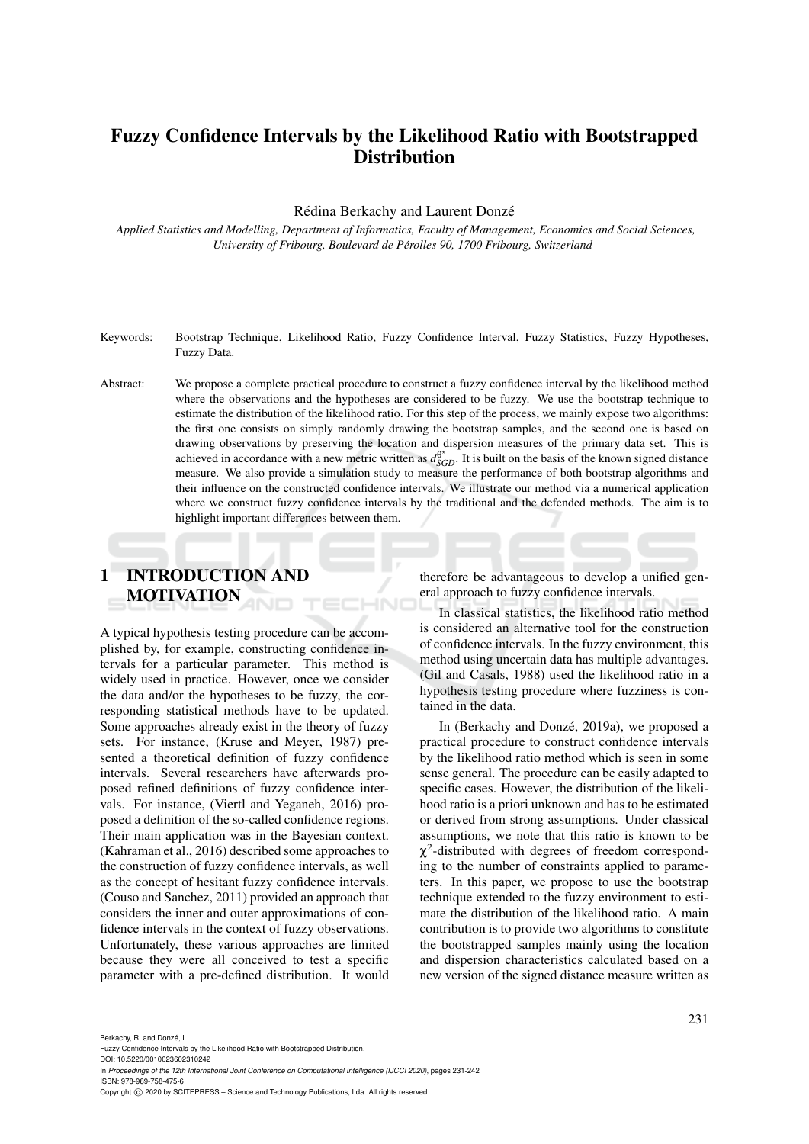## Fuzzy Confidence Intervals by the Likelihood Ratio with Bootstrapped **Distribution**

Rédina Berkachy and Laurent Donzé

*Applied Statistics and Modelling, Department of Informatics, Faculty of Management, Economics and Social Sciences, University of Fribourg, Boulevard de Perolles 90, 1700 Fribourg, Switzerland ´*

- Keywords: Bootstrap Technique, Likelihood Ratio, Fuzzy Confidence Interval, Fuzzy Statistics, Fuzzy Hypotheses, Fuzzy Data.
- Abstract: We propose a complete practical procedure to construct a fuzzy confidence interval by the likelihood method where the observations and the hypotheses are considered to be fuzzy. We use the bootstrap technique to estimate the distribution of the likelihood ratio. For this step of the process, we mainly expose two algorithms: the first one consists on simply randomly drawing the bootstrap samples, and the second one is based on drawing observations by preserving the location and dispersion measures of the primary data set. This is achieved in accordance with a new metric written as  $d_{SGD}^{\theta^*}$ . It is built on the basis of the known signed distance measure. We also provide a simulation study to measure the performance of both bootstrap algorithms and their influence on the constructed confidence intervals. We illustrate our method via a numerical application where we construct fuzzy confidence intervals by the traditional and the defended methods. The aim is to highlight important differences between them.

## 1 INTRODUCTION AND MOTIVATION

A typical hypothesis testing procedure can be accomplished by, for example, constructing confidence intervals for a particular parameter. This method is widely used in practice. However, once we consider the data and/or the hypotheses to be fuzzy, the corresponding statistical methods have to be updated. Some approaches already exist in the theory of fuzzy sets. For instance, (Kruse and Meyer, 1987) presented a theoretical definition of fuzzy confidence intervals. Several researchers have afterwards proposed refined definitions of fuzzy confidence intervals. For instance, (Viertl and Yeganeh, 2016) proposed a definition of the so-called confidence regions. Their main application was in the Bayesian context. (Kahraman et al., 2016) described some approaches to the construction of fuzzy confidence intervals, as well as the concept of hesitant fuzzy confidence intervals. (Couso and Sanchez, 2011) provided an approach that considers the inner and outer approximations of confidence intervals in the context of fuzzy observations. Unfortunately, these various approaches are limited because they were all conceived to test a specific parameter with a pre-defined distribution. It would

therefore be advantageous to develop a unified general approach to fuzzy confidence intervals.

In classical statistics, the likelihood ratio method is considered an alternative tool for the construction of confidence intervals. In the fuzzy environment, this method using uncertain data has multiple advantages. (Gil and Casals, 1988) used the likelihood ratio in a hypothesis testing procedure where fuzziness is contained in the data.

In (Berkachy and Donzé, 2019a), we proposed a practical procedure to construct confidence intervals by the likelihood ratio method which is seen in some sense general. The procedure can be easily adapted to specific cases. However, the distribution of the likelihood ratio is a priori unknown and has to be estimated or derived from strong assumptions. Under classical assumptions, we note that this ratio is known to be  $\chi^2$ -distributed with degrees of freedom corresponding to the number of constraints applied to parameters. In this paper, we propose to use the bootstrap technique extended to the fuzzy environment to estimate the distribution of the likelihood ratio. A main contribution is to provide two algorithms to constitute the bootstrapped samples mainly using the location and dispersion characteristics calculated based on a new version of the signed distance measure written as

Berkachy, R. and Donzé, L.

DOI: 10.5220/0010023602310242 In *Proceedings of the 12th International Joint Conference on Computational Intelligence (IJCCI 2020)*, pages 231-242 ISBN: 978-989-758-475-6

Copyright (C) 2020 by SCITEPRESS - Science and Technology Publications, Lda. All rights reserved

Fuzzy Confidence Intervals by the Likelihood Ratio with Bootstrapped Distribution.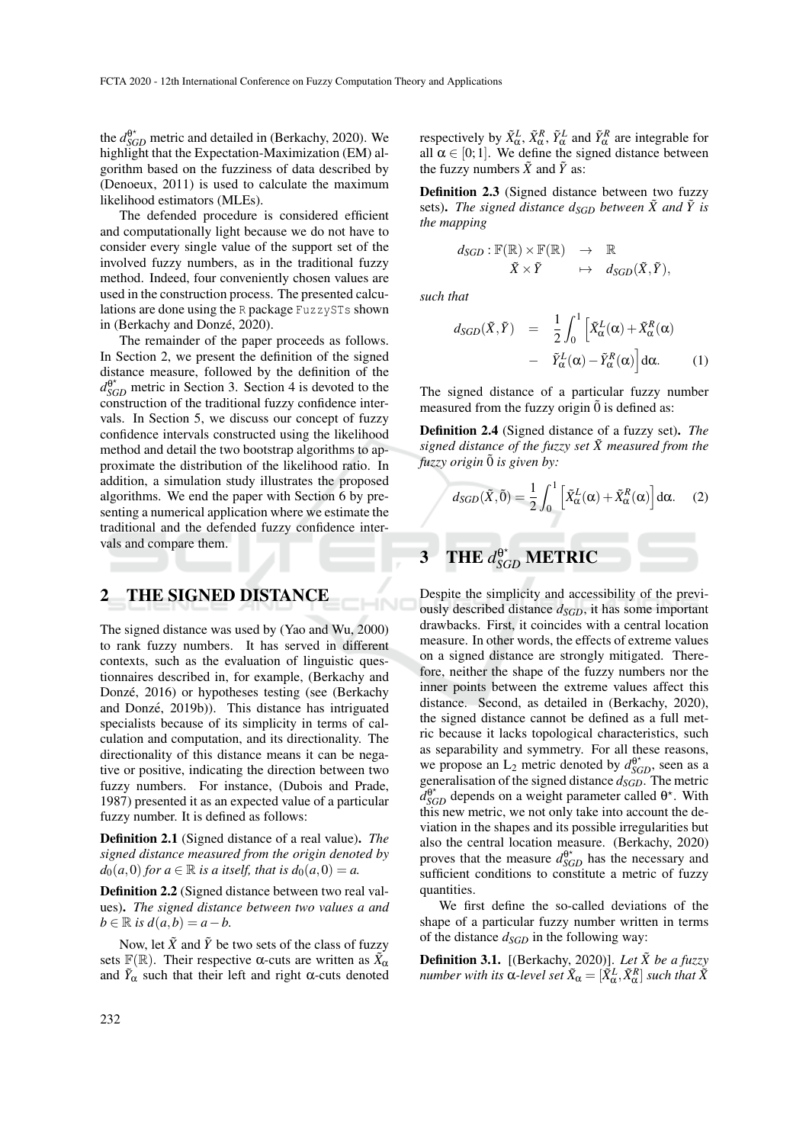the  $d_{SGD}^{\theta^*}$  metric and detailed in (Berkachy, 2020). We highlight that the Expectation-Maximization (EM) algorithm based on the fuzziness of data described by (Denoeux, 2011) is used to calculate the maximum likelihood estimators (MLEs).

The defended procedure is considered efficient and computationally light because we do not have to consider every single value of the support set of the involved fuzzy numbers, as in the traditional fuzzy method. Indeed, four conveniently chosen values are used in the construction process. The presented calculations are done using the R package FuzzySTs shown in (Berkachy and Donzé, 2020).

The remainder of the paper proceeds as follows. In Section 2, we present the definition of the signed distance measure, followed by the definition of the  $d_{SGD}^{\theta^*}$  metric in Section 3. Section 4 is devoted to the construction of the traditional fuzzy confidence intervals. In Section 5, we discuss our concept of fuzzy confidence intervals constructed using the likelihood method and detail the two bootstrap algorithms to approximate the distribution of the likelihood ratio. In addition, a simulation study illustrates the proposed algorithms. We end the paper with Section 6 by presenting a numerical application where we estimate the traditional and the defended fuzzy confidence intervals and compare them.

## 2 THE SIGNED DISTANCE

The signed distance was used by (Yao and Wu, 2000) to rank fuzzy numbers. It has served in different contexts, such as the evaluation of linguistic questionnaires described in, for example, (Berkachy and Donzé, 2016) or hypotheses testing (see (Berkachy and Donzé, 2019b)). This distance has intriguated specialists because of its simplicity in terms of calculation and computation, and its directionality. The directionality of this distance means it can be negative or positive, indicating the direction between two fuzzy numbers. For instance, (Dubois and Prade, 1987) presented it as an expected value of a particular fuzzy number. It is defined as follows:

Definition 2.1 (Signed distance of a real value). *The signed distance measured from the origin denoted by*  $d_0(a,0)$  *for*  $a \in \mathbb{R}$  *is a itself, that is*  $d_0(a,0) = a$ .

Definition 2.2 (Signed distance between two real values). *The signed distance between two values a and*  $b \in \mathbb{R}$  *is*  $d(a,b) = a-b$ *.* 

Now, let  $\tilde{X}$  and  $\tilde{Y}$  be two sets of the class of fuzzy sets  $\mathbb{F}(\mathbb{R})$ . Their respective  $\alpha$ -cuts are written as  $\tilde{X}_{\alpha}$ and  $\tilde{Y}_\alpha$  such that their left and right  $\alpha$ -cuts denoted

respectively by  $\tilde{X}^L_\alpha$ ,  $\tilde{X}^R_\alpha$ ,  $\tilde{Y}^L_\alpha$  and  $\tilde{Y}^R_\alpha$  are integrable for all  $\alpha \in [0, 1]$ . We define the signed distance between the fuzzy numbers  $\tilde{X}$  and  $\tilde{Y}$  as:

Definition 2.3 (Signed distance between two fuzzy sets). The signed distance  $d_{SGD}$  between  $\tilde{X}$  and  $\tilde{Y}$  is *the mapping*

$$
d_{SGD} : \mathbb{F}(\mathbb{R}) \times \mathbb{F}(\mathbb{R}) \rightarrow \mathbb{R}
$$
  

$$
\tilde{X} \times \tilde{Y} \rightarrow d_{SGD}(\tilde{X}, \tilde{Y}),
$$

*such that*

$$
d_{SGD}(\tilde{X}, \tilde{Y}) = \frac{1}{2} \int_0^1 \left[ \tilde{X}_{\alpha}^L(\alpha) + \tilde{X}_{\alpha}^R(\alpha) - \tilde{Y}_{\alpha}^L(\alpha) - \tilde{Y}_{\alpha}^R(\alpha) \right] d\alpha.
$$
 (1)

The signed distance of a particular fuzzy number measured from the fuzzy origin  $\ddot{0}$  is defined as:

Definition 2.4 (Signed distance of a fuzzy set). *The signed distance of the fuzzy set*  $\tilde{X}$  *measured from the fuzzy origin*  $\tilde{0}$  *is given by:* 

$$
d_{SGD}(\tilde{X},\tilde{0}) = \frac{1}{2} \int_0^1 \left[ \tilde{X}_{\alpha}^L(\alpha) + \tilde{X}_{\alpha}^R(\alpha) \right] d\alpha.
$$
 (2)

# **3** THE  $d_{SGD}^{\theta^*}$  METRIC

Despite the simplicity and accessibility of the previously described distance *dSGD*, it has some important drawbacks. First, it coincides with a central location measure. In other words, the effects of extreme values on a signed distance are strongly mitigated. Therefore, neither the shape of the fuzzy numbers nor the inner points between the extreme values affect this distance. Second, as detailed in (Berkachy, 2020), the signed distance cannot be defined as a full metric because it lacks topological characteristics, such as separability and symmetry. For all these reasons, we propose an  $L_2$  metric denoted by  $d_{SGD}^{\theta^*}$ , seen as a generalisation of the signed distance *dSGD*. The metric  $d_{SGD}^{\theta^*}$  depends on a weight parameter called  $\theta^*$ . With this new metric, we not only take into account the deviation in the shapes and its possible irregularities but also the central location measure. (Berkachy, 2020) proves that the measure  $d_{SGD}^{\theta^*}$  has the necessary and sufficient conditions to constitute a metric of fuzzy quantities.

We first define the so-called deviations of the shape of a particular fuzzy number written in terms of the distance *dSGD* in the following way:

**Definition 3.1.** [(Berkachy, 2020)]. Let  $\tilde{X}$  be a fuzzy  $n$ umber with its  $\alpha$ -level set  $\tilde{X}_\alpha = [\tilde{X}_\alpha^L, \tilde{X}_\alpha^R]$  such that  $\tilde{X}$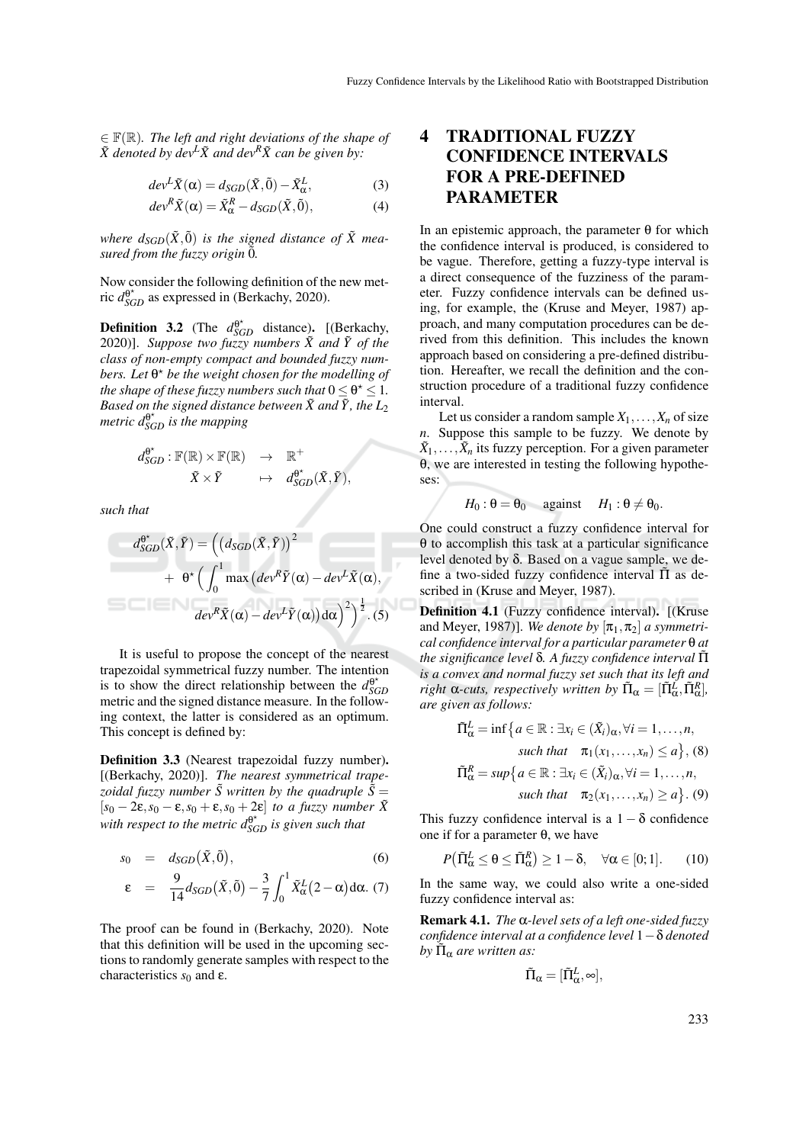∈ F(R)*. The left and right deviations of the shape of*  $\tilde{X}$  *denoted by dev*<sup> $L\tilde{X}$  *and dev*<sup> $R\tilde{X}$  *can be given by:*</sup></sup>

$$
dev^{L}\tilde{X}(\alpha) = d_{SGD}(\tilde{X}, \tilde{0}) - \tilde{X}_{\alpha}^{L},
$$
\n(3)

$$
dev^{R}\tilde{X}(\alpha) = \tilde{X}_{\alpha}^{R} - d_{SGD}(\tilde{X}, \tilde{0}),
$$
\n(4)

*where*  $d_{SGD}(\tilde{X}, \tilde{0})$  *<i>is the signed distance of*  $\tilde{X}$  *measured from the fuzzy origin*  $\ddot{0}$ *.* 

Now consider the following definition of the new metric  $d_{SGD}^{\theta^*}$  as expressed in (Berkachy, 2020).

**Definition 3.2** (The  $d_{SGD}^{\theta^*}$  distance). [(Berkachy, 2020)]. Suppose two fuzzy numbers  $\tilde{X}$  and  $\tilde{Y}$  of the *class of non-empty compact and bounded fuzzy numbers. Let*  $\theta^{\star}$  *be the weight chosen for the modelling of the shape of these fuzzy numbers such that*  $0 \le \theta^{\star} \le 1$ *.* Based on the signed distance between  $\tilde{X}$  and  $\tilde{Y}$  , the  $L_2$ *metric d*<sup>θ</sup> ? *SGD is the mapping*

$$
d_{SGD}^{\theta^{\star}} : \mathbb{F}(\mathbb{R}) \times \mathbb{F}(\mathbb{R}) \rightarrow \mathbb{R}^{+} \tilde{X} \times \tilde{Y} \rightarrow d_{SGD}^{\theta^{\star}}(\tilde{X}, \tilde{Y}),
$$

*such that*

$$
d_{SGD}^{\theta^*}(\tilde{X}, \tilde{Y}) = ((d_{SGD}(\tilde{X}, \tilde{Y}))^2 + \theta^* ((\int_0^1 \max (dev^R \tilde{Y}(\alpha) - dev^L \tilde{X}(\alpha),
$$

$$
dev^R \tilde{X}(\alpha) - dev^L \tilde{Y}(\alpha)) d\alpha)^2 )^{\frac{1}{2}}.
$$
(5)

It is useful to propose the concept of the nearest trapezoidal symmetrical fuzzy number. The intention is to show the direct relationship between the  $d_{SG}^{\theta^*}$ *SGD* metric and the signed distance measure. In the following context, the latter is considered as an optimum. This concept is defined by:

Definition 3.3 (Nearest trapezoidal fuzzy number). [(Berkachy, 2020)]. *The nearest symmetrical trapezoidal fuzzy number*  $\tilde{S}$  written by the quadruple  $\tilde{S}$  =  $[s_0 - 2\varepsilon, s_0 - \varepsilon, s_0 + \varepsilon, s_0 + 2\varepsilon]$  *to a fuzzy number*  $\tilde{X}$ *with respect to the metric*  $d_{SGD}^{\theta^{\star}}$  *is given such that* 

$$
s_0 = d_{SGD}(\tilde{X}, \tilde{0}), \qquad (6)
$$

$$
\varepsilon = \frac{9}{14} d_{SGD}(\tilde{X}, \tilde{0}) - \frac{3}{7} \int_0^1 \tilde{X}_{\alpha}^L (2 - \alpha) d\alpha. (7)
$$

The proof can be found in (Berkachy, 2020). Note that this definition will be used in the upcoming sections to randomly generate samples with respect to the characteristics *s*<sup>0</sup> and ε.

### 4 TRADITIONAL FUZZY CONFIDENCE INTERVALS FOR A PRE-DEFINED PARAMETER

In an epistemic approach, the parameter  $θ$  for which the confidence interval is produced, is considered to be vague. Therefore, getting a fuzzy-type interval is a direct consequence of the fuzziness of the parameter. Fuzzy confidence intervals can be defined using, for example, the (Kruse and Meyer, 1987) approach, and many computation procedures can be derived from this definition. This includes the known approach based on considering a pre-defined distribution. Hereafter, we recall the definition and the construction procedure of a traditional fuzzy confidence interval.

Let us consider a random sample  $X_1, \ldots, X_n$  of size *n*. Suppose this sample to be fuzzy. We denote by  $\tilde{X}_1, \ldots, \tilde{X}_n$  its fuzzy perception. For a given parameter θ, we are interested in testing the following hypotheses:

$$
H_0: \theta = \theta_0
$$
 against  $H_1: \theta \neq \theta_0$ .

One could construct a fuzzy confidence interval for θ to accomplish this task at a particular significance level denoted by δ. Based on a vague sample, we define a two-sided fuzzy confidence interval  $\tilde{\Pi}$  as described in (Kruse and Meyer, 1987).

Definition 4.1 (Fuzzy confidence interval). [(Kruse and Meyer, 1987)]. *We denote by*  $[\pi_1, \pi_2]$  *a symmetrical confidence interval for a particular parameter* θ *at the significance level* δ*. A fuzzy confidence interval* Π˜ *is a convex and normal fuzzy set such that its left and right*  $\alpha$ -*cuts, respectively written by*  $\tilde{\Pi}_{\alpha} = [\tilde{\Pi}_{\alpha}^{\tilde{L}}, \tilde{\Pi}_{\alpha}^R]$ , *are given as follows:*

$$
\tilde{\Pi}_{\alpha}^{L} = \inf \left\{ a \in \mathbb{R} : \exists x_{i} \in (\tilde{X}_{i})_{\alpha}, \forall i = 1, ..., n, \nsuch that \quad \pi_{1}(x_{1}, ..., x_{n}) \leq a \right\}, (8)
$$
\n
$$
\tilde{\Pi}_{\alpha}^{R} = \sup \left\{ a \in \mathbb{R} : \exists x_{i} \in (\tilde{X}_{i})_{\alpha}, \forall i = 1, ..., n, \nsuch that \quad \pi_{2}(x_{1}, ..., x_{n}) \geq a \right\}. (9)
$$

This fuzzy confidence interval is a  $1 - \delta$  confidence one if for a parameter  $θ$ , we have

$$
P(\tilde{\Pi}_{\alpha}^{L} \leq \theta \leq \tilde{\Pi}_{\alpha}^{R}) \geq 1 - \delta, \quad \forall \alpha \in [0; 1]. \tag{10}
$$

In the same way, we could also write a one-sided fuzzy confidence interval as:

Remark 4.1. *The* α*-level sets of a left one-sided fuzzy confidence interval at a confidence level* 1−δ *denoted*  $by \tilde{\Pi}_{\alpha}$  are written as:

$$
\tilde{\Pi}_{\alpha}=[\tilde{\Pi}^L_{\alpha},\infty],
$$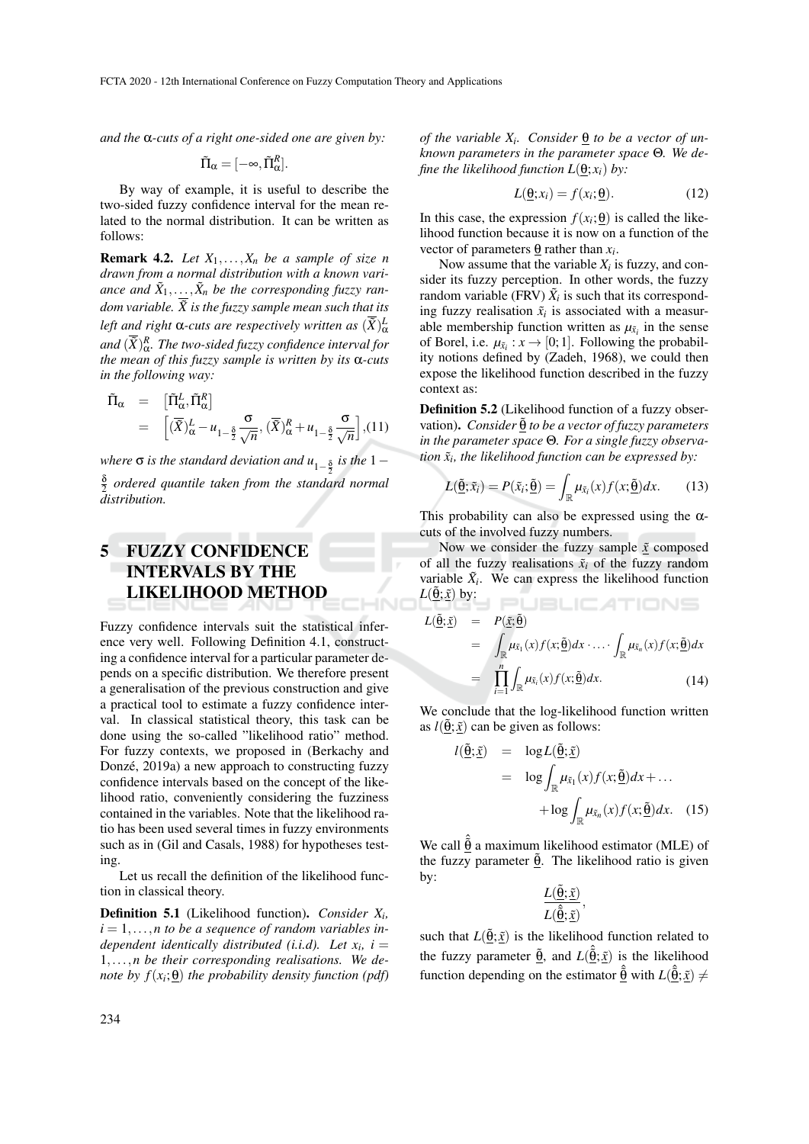FCTA 2020 - 12th International Conference on Fuzzy Computation Theory and Applications

*and the* α*-cuts of a right one-sided one are given by:*

$$
\tilde{\Pi}_{\alpha} = [-\infty, \tilde{\Pi}_{\alpha}^{R}].
$$

By way of example, it is useful to describe the two-sided fuzzy confidence interval for the mean related to the normal distribution. It can be written as follows:

Remark 4.2. *Let X*1,...,*X<sup>n</sup> be a sample of size n drawn from a normal distribution with a known vari*ance and  $\tilde{X}_1, \ldots, \tilde{X}_n$  be the corresponding fuzzy ran*dom variable.*  $\overline{X}$  is the fuzzy sample mean such that its left and right  $\alpha$ -cuts are respectively written as  $(\tilde{X})^L_{\alpha}$ and  $(\tilde{X})_{\alpha}^R.$  The two-sided fuzzy confidence interval for *the mean of this fuzzy sample is written by its* α*-cuts in the following way:*

$$
\tilde{\Pi}_{\alpha} = [\tilde{\Pi}^{L}_{\alpha}, \tilde{\Pi}^{R}_{\alpha}]
$$
\n
$$
= [(\overline{\tilde{X}})^{L}_{\alpha} - u_{1-\frac{\delta}{2}} \frac{\sigma}{\sqrt{n}}, (\overline{\tilde{X}})^{R}_{\alpha} + u_{1-\frac{\delta}{2}} \frac{\sigma}{\sqrt{n}}], (11)
$$

*where* **σ** *is the standard deviation and u*<sub>1−</sub><sup>§</sup> *is the* 1− δ 2 *ordered quantile taken from the standard normal distribution.*

## 5 FUZZY CONFIDENCE INTERVALS BY THE LIKELIHOOD METHOD

Fuzzy confidence intervals suit the statistical inference very well. Following Definition 4.1, constructing a confidence interval for a particular parameter depends on a specific distribution. We therefore present a generalisation of the previous construction and give a practical tool to estimate a fuzzy confidence interval. In classical statistical theory, this task can be done using the so-called "likelihood ratio" method. For fuzzy contexts, we proposed in (Berkachy and Donzé, 2019a) a new approach to constructing fuzzy confidence intervals based on the concept of the likelihood ratio, conveniently considering the fuzziness contained in the variables. Note that the likelihood ratio has been used several times in fuzzy environments such as in (Gil and Casals, 1988) for hypotheses testing.

Let us recall the definition of the likelihood function in classical theory.

Definition 5.1 (Likelihood function). *Consider X<sup>i</sup> ,*  $i = 1, \ldots, n$  to be a sequence of random variables in*dependent identically distributed (i.i.d). Let*  $x_i$ *, i =* 1,...,*n be their corresponding realisations. We denote by*  $f(x_i; \underline{\theta})$  *the probability density function (pdf)* 

*of the variable*  $X_i$ *. Consider*  $\underline{\Theta}$  *to be a vector of unknown parameters in the parameter space* Θ*. We define the likelihood function*  $L(\theta; x_i)$  *by:* 

$$
L(\underline{\theta};x_i) = f(x_i; \underline{\theta}). \tag{12}
$$

In this case, the expression  $f(x_i; \theta)$  is called the likelihood function because it is now on a function of the vector of parameters  $\underline{\Theta}$  rather than  $x_i$ .

Now assume that the variable  $X_i$  is fuzzy, and consider its fuzzy perception. In other words, the fuzzy random variable (FRV)  $\tilde{X}_i$  is such that its corresponding fuzzy realisation  $\tilde{x}_i$  is associated with a measurable membership function written as  $\mu_{\tilde{x}_i}$  in the sense of Borel, i.e.  $\mu_{\tilde{x}_i}: x \to [0; 1]$ . Following the probability notions defined by (Zadeh, 1968), we could then expose the likelihood function described in the fuzzy context as:

Definition 5.2 (Likelihood function of a fuzzy observation). *Consider* θ˜ *to be a vector of fuzzy parameters in the parameter space* Θ*. For a single fuzzy observation x*˜*<sup>i</sup> , the likelihood function can be expressed by:*

$$
L(\tilde{\underline{\theta}};\tilde{x}_i) = P(\tilde{x}_i;\tilde{\underline{\theta}}) = \int_{\mathbb{R}} \mu_{\tilde{x}_i}(x) f(x;\tilde{\underline{\theta}}) dx.
$$
 (13)

This probability can also be expressed using the  $\alpha$ cuts of the involved fuzzy numbers.

Now we consider the fuzzy sample  $\tilde{x}$  composed of all the fuzzy realisations  $\tilde{x}_i$  of the fuzzy random variable  $\tilde{X}_i$ . We can express the likelihood function  $L(\underline{\theta}; \underline{\tilde{x}})$  by: **I PUBLICATIONS** 

$$
L(\underline{\tilde{\theta}};\tilde{x}) = P(\tilde{x};\underline{\tilde{\theta}})
$$
  
\n
$$
= \int_{\mathbb{R}} \mu_{\tilde{x}_1}(x) f(x; \underline{\tilde{\theta}}) dx \cdot \dots \cdot \int_{\mathbb{R}} \mu_{\tilde{x}_n}(x) f(x; \underline{\tilde{\theta}}) dx
$$
  
\n
$$
= \prod_{i=1}^n \int_{\mathbb{R}} \mu_{\tilde{x}_i}(x) f(x; \underline{\tilde{\theta}}) dx.
$$
 (14)

We conclude that the log-likelihood function written as  $l(\tilde{\theta}; \tilde{x})$  can be given as follows:

$$
l(\underline{\tilde{\theta}}; \underline{\tilde{x}}) = \log L(\underline{\tilde{\theta}}; \underline{\tilde{x}})
$$
  
=  $\log \int_{\mathbb{R}} \mu_{\tilde{x}_1}(x) f(x; \underline{\tilde{\theta}}) dx + ...$   
+  $\log \int_{\mathbb{R}} \mu_{\tilde{x}_n}(x) f(x; \underline{\tilde{\theta}}) dx.$  (15)

We call  $\hat{\hat{\theta}}$  a maximum likelihood estimator (MLE) of the fuzzy parameter  $\tilde{\theta}$ . The likelihood ratio is given by:

$$
\frac{L(\underline{\tilde{\theta}};\underline{\tilde{x}})}{L(\underline{\hat{\theta}};\underline{\tilde{x}})},
$$

such that  $L(\underline{\tilde{\theta}}; \tilde{x})$  is the likelihood function related to the fuzzy parameter  $\tilde{\theta}$ , and  $L(\hat{\theta}; \tilde{x})$  is the likelihood function depending on the estimator  $\hat{a}$  with  $L(\hat{a}; \tilde{x}) \neq$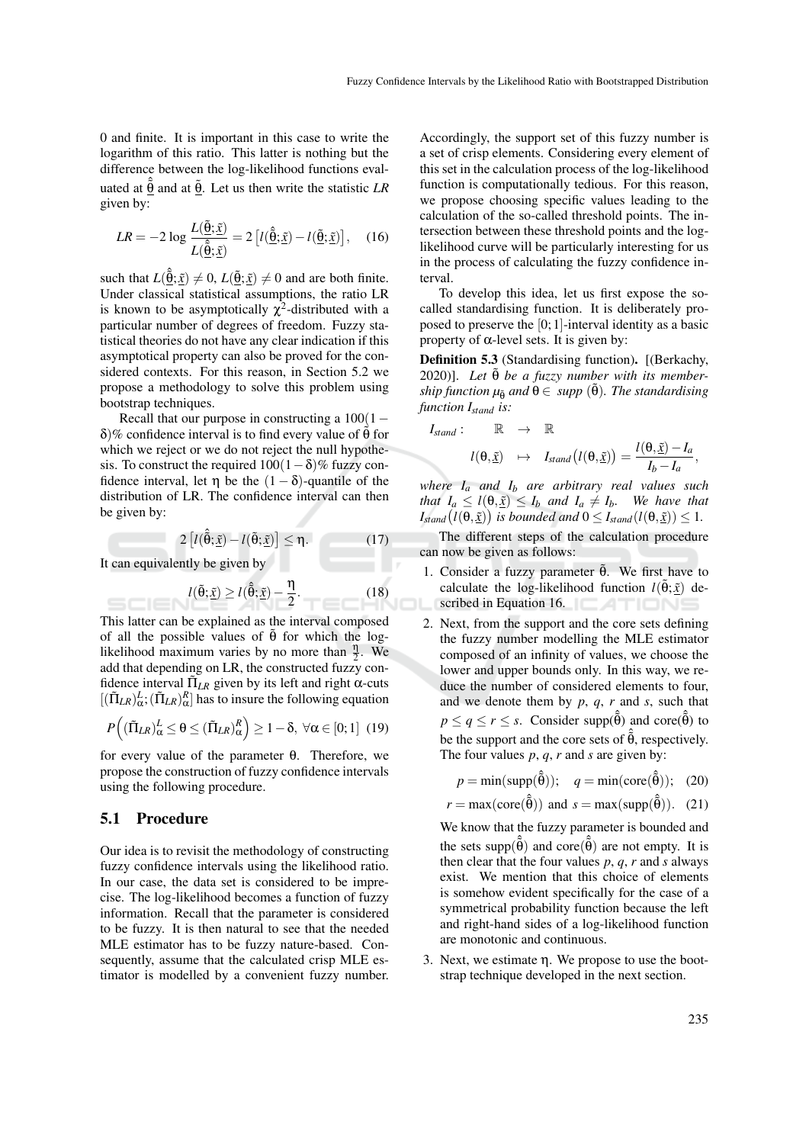0 and finite. It is important in this case to write the logarithm of this ratio. This latter is nothing but the difference between the log-likelihood functions evaluated at  $\hat{\hat{\theta}}$  and at  $\tilde{\theta}$ . Let us then write the statistic *LR* given by:

$$
LR = -2\log\frac{L(\tilde{\underline{\theta}};\tilde{\underline{x}})}{L(\hat{\underline{\theta}};\tilde{\underline{x}})} = 2\left[l(\hat{\underline{\theta}};\tilde{\underline{x}}) - l(\tilde{\underline{\theta}};\tilde{\underline{x}})\right],\quad(16)
$$

such that  $L(\hat{\theta}; \tilde{\underline{x}}) \neq 0$ ,  $L(\tilde{\theta}; \tilde{\underline{x}}) \neq 0$  and are both finite. Under classical statistical assumptions, the ratio LR is known to be asymptotically  $\chi^2$ -distributed with a particular number of degrees of freedom. Fuzzy statistical theories do not have any clear indication if this asymptotical property can also be proved for the considered contexts. For this reason, in Section 5.2 we propose a methodology to solve this problem using bootstrap techniques.

Recall that our purpose in constructing a  $100(1−$ δ)% confidence interval is to find every value of  $\tilde{\theta}$  for which we reject or we do not reject the null hypothesis. To construct the required  $100(1-\delta)\%$  fuzzy confidence interval, let  $\eta$  be the  $(1 - \delta)$ -quantile of the distribution of LR. The confidence interval can then be given by:

$$
2\left[l(\hat{\tilde{\theta}};\underline{\tilde{x}}) - l(\tilde{\theta};\underline{\tilde{x}})\right] \leq \eta.
$$
 (17)

It can equivalently be given by

$$
l(\tilde{\theta}; \tilde{\underline{x}}) \ge l(\hat{\tilde{\theta}}; \tilde{\underline{x}}) - \frac{\eta}{2}.
$$
 (18)

This latter can be explained as the interval composed of all the possible values of  $\tilde{\theta}$  for which the loglikelihood maximum varies by no more than  $\frac{\eta}{2}$ . We add that depending on LR, the constructed fuzzy confidence interval  $\tilde{\Pi}_{LR}$  given by its left and right α-cuts  $[(\tilde{\Pi}_{LR})^L_{\alpha}; (\tilde{\Pi}_{LR})^R_{\alpha}]$  has to insure the following equation

$$
P\left((\tilde{\Pi}_{LR})_{\alpha}^L \leq \theta \leq (\tilde{\Pi}_{LR})_{\alpha}^R\right) \geq 1 - \delta, \ \forall \alpha \in [0;1] \ (19)
$$

for every value of the parameter θ. Therefore, we propose the construction of fuzzy confidence intervals using the following procedure.

#### 5.1 Procedure

Our idea is to revisit the methodology of constructing fuzzy confidence intervals using the likelihood ratio. In our case, the data set is considered to be imprecise. The log-likelihood becomes a function of fuzzy information. Recall that the parameter is considered to be fuzzy. It is then natural to see that the needed MLE estimator has to be fuzzy nature-based. Consequently, assume that the calculated crisp MLE estimator is modelled by a convenient fuzzy number.

Accordingly, the support set of this fuzzy number is a set of crisp elements. Considering every element of this set in the calculation process of the log-likelihood function is computationally tedious. For this reason, we propose choosing specific values leading to the calculation of the so-called threshold points. The intersection between these threshold points and the loglikelihood curve will be particularly interesting for us in the process of calculating the fuzzy confidence interval.

To develop this idea, let us first expose the socalled standardising function. It is deliberately proposed to preserve the [0; 1]-interval identity as a basic property of  $\alpha$ -level sets. It is given by:

Definition 5.3 (Standardising function). [(Berkachy, 2020)]. Let  $θ$  *be a fuzzy number with its membership function*  $\mu_{\tilde{\theta}}$  *and*  $\theta \in supp(\tilde{\theta})$ *. The standardising function Istand is:*

$$
I_{stand}: \mathbb{R} \rightarrow \mathbb{R}
$$
  

$$
l(\theta, \underline{\tilde{x}}) \mapsto I_{stand}(l(\theta, \underline{\tilde{x}})) = \frac{l(\theta, \underline{\tilde{x}}) - I_a}{I_b - I_a},
$$

*where I<sup>a</sup> and I<sup>b</sup> are arbitrary real values such that*  $I_a \leq l(\theta, \tilde{x}) \leq I_b$  *and*  $I_a \neq I_b$ *. We have that*  $I_{stand}(l(\theta, \underline{\tilde{x}}))$  is bounded and  $0 \leq I_{stand}(l(\theta, \underline{\tilde{x}})) \leq 1$ .

The different steps of the calculation procedure can now be given as follows:

- 1. Consider a fuzzy parameter  $\tilde{\theta}$ . We first have to calculate the log-likelihood function  $l(\tilde{\theta}; \tilde{x})$  described in Equation 16.
- 2. Next, from the support and the core sets defining the fuzzy number modelling the MLE estimator composed of an infinity of values, we choose the lower and upper bounds only. In this way, we reduce the number of considered elements to four, and we denote them by *p*, *q*, *r* and *s*, such that  $p \le q \le r \le s$ . Consider supp $(\hat{\tilde{\theta}})$  and core $(\hat{\tilde{\theta}})$  to be the support and the core sets of  $\hat{\hat{\theta}}$ , respectively. The four values *p*, *q*, *r* and *s* are given by:

$$
p = \min(\text{supp}(\hat{\theta})); \quad q = \min(\text{core}(\hat{\theta})); \quad (20)
$$

$$
r = \max(\text{core}(\hat{\hat{\theta}}))
$$
 and  $s = \max(\text{supp}(\hat{\hat{\theta}})).$  (21)

We know that the fuzzy parameter is bounded and the sets supp $(\hat{\hat{\theta}})$  and core $(\hat{\hat{\theta}})$  are not empty. It is then clear that the four values *p*, *q*, *r* and *s* always exist. We mention that this choice of elements is somehow evident specifically for the case of a symmetrical probability function because the left and right-hand sides of a log-likelihood function are monotonic and continuous.

3. Next, we estimate η. We propose to use the bootstrap technique developed in the next section.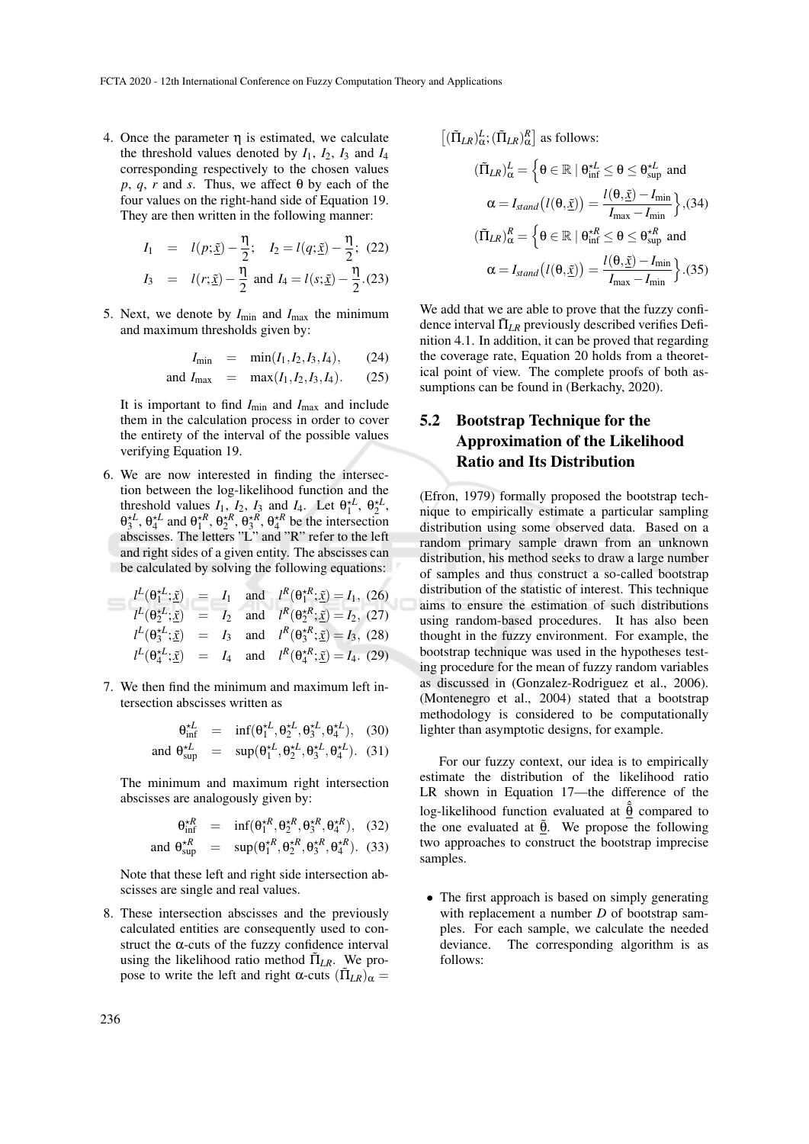4. Once the parameter  $\eta$  is estimated, we calculate the threshold values denoted by  $I_1$ ,  $I_2$ ,  $I_3$  and  $I_4$ corresponding respectively to the chosen values *p*, *q*, *r* and *s*. Thus, we affect  $\theta$  by each of the four values on the right-hand side of Equation 19. They are then written in the following manner:

$$
I_1 = l(p; \underline{\tilde{x}}) - \frac{\eta}{2}; \quad I_2 = l(q; \underline{\tilde{x}}) - \frac{\eta}{2}; \quad (22)
$$
  

$$
I_3 = l(r; \underline{\tilde{x}}) - \frac{\eta}{2} \text{ and } I_4 = l(s; \underline{\tilde{x}}) - \frac{\eta}{2}. (23)
$$

5. Next, we denote by  $I_{\text{min}}$  and  $I_{\text{max}}$  the minimum and maximum thresholds given by:

$$
I_{\min} = \min(I_1, I_2, I_3, I_4), \quad (24)
$$

and 
$$
I_{\text{max}}
$$
 = max $(I_1, I_2, I_3, I_4)$ . (25)

It is important to find  $I_{\text{min}}$  and  $I_{\text{max}}$  and include them in the calculation process in order to cover the entirety of the interval of the possible values verifying Equation 19.

6. We are now interested in finding the intersection between the log-likelihood function and the threshold values  $I_1$ ,  $I_2$ ,  $I_3$  and  $I_4$ . Let  $\theta_1^{\star L}$ ,  $\theta_2^{\star L}$ ,  $\theta_3^{\star L}, \theta_4^{\star L}$  and  $\theta_1^{\star R}, \theta_2^{\star R}, \theta_3^{\star R}, \theta_4^{\star R}$  be the intersection abscisses. The letters "L" and "R" refer to the left and right sides of a given entity. The abscisses can be calculated by solving the following equations:

$$
l^{L}(\theta_{1}^{*L}; \tilde{\mathbf{x}}) = I_{1} \text{ and } l^{R}(\theta_{1}^{*R}; \tilde{\mathbf{x}}) = I_{1}, (26)
$$
  
\n
$$
l^{L}(\theta_{2}^{*L}; \tilde{\mathbf{x}}) = I_{2} \text{ and } l^{R}(\theta_{2}^{*R}; \tilde{\mathbf{x}}) = I_{2}, (27)
$$
  
\n
$$
l^{L}(\theta_{3}^{*L}; \tilde{\mathbf{x}}) = I_{3} \text{ and } l^{R}(\theta_{3}^{*R}; \tilde{\mathbf{x}}) = I_{3}, (28)
$$
  
\n
$$
l^{L}(\theta_{4}^{*L}; \tilde{\mathbf{x}}) = I_{4} \text{ and } l^{R}(\theta_{4}^{*R}; \tilde{\mathbf{x}}) = I_{4}. (29)
$$

JC

7. We then find the minimum and maximum left intersection abscisses written as

$$
\theta_{\text{inf}}^{\star L} = \text{inf}(\theta_1^{\star L}, \theta_2^{\star L}, \theta_3^{\star L}, \theta_4^{\star L}), \quad (30)
$$
  
and  $\theta_{\text{sup}}^{\star L} = \text{sup}(\theta_1^{\star L}, \theta_2^{\star L}, \theta_3^{\star L}, \theta_4^{\star L}). \quad (31)$ 

The minimum and maximum right intersection abscisses are analogously given by:

$$
\theta_{\text{inf}}^{\star R} = \text{inf}(\theta_1^{\star R}, \theta_2^{\star R}, \theta_3^{\star R}, \theta_4^{\star R}), \quad (32)
$$

and 
$$
\theta_{\text{sup}}^{\star R}
$$
 =  $\text{sup}(\theta_1^{\star R}, \theta_2^{\star R}, \theta_3^{\star R}, \theta_4^{\star R})$ . (33)

Note that these left and right side intersection abscisses are single and real values.

8. These intersection abscisses and the previously calculated entities are consequently used to construct the  $\alpha$ -cuts of the fuzzy confidence interval using the likelihood ratio method  $\tilde{\Pi}_{LR}$ . We propose to write the left and right α-cuts  $(\tilde{\Pi}_{LR})_{\alpha} =$ 

$$
[(\tilde{\Pi}_{LR})_{\alpha}^{L}; (\tilde{\Pi}_{LR})_{\alpha}^{R}] \text{ as follows:}
$$

$$
(\tilde{\Pi}_{LR})_{\alpha}^{L} = \left\{\theta \in \mathbb{R} \mid \theta_{\text{inf}}^{\star L} \leq \theta \leq \theta_{\text{sup}}^{\star L} \text{ and}
$$

$$
\alpha = I_{stand}(l(\theta, \tilde{\underline{x}})) = \frac{l(\theta, \tilde{\underline{x}}) - I_{\text{min}}}{I_{\text{max}} - I_{\text{min}}} \right\}, (34)
$$

$$
(\tilde{\Pi}_{LR})_{\alpha}^{R} = \left\{\theta \in \mathbb{R} \mid \theta_{\text{inf}}^{\star R} \leq \theta \leq \theta_{\text{sup}}^{\star R} \text{ and}
$$

$$
\alpha = I_{stand}(l(\theta, \tilde{\underline{x}})) = \frac{l(\theta, \tilde{\underline{x}}) - I_{\text{min}}}{I_{\text{max}} - I_{\text{min}}} \right\}. (35)
$$

We add that we are able to prove that the fuzzy confidence interval  $\tilde{\Pi}_{LR}$  previously described verifies Definition 4.1. In addition, it can be proved that regarding the coverage rate, Equation 20 holds from a theoretical point of view. The complete proofs of both assumptions can be found in (Berkachy, 2020).

## 5.2 Bootstrap Technique for the Approximation of the Likelihood Ratio and Its Distribution

(Efron, 1979) formally proposed the bootstrap technique to empirically estimate a particular sampling distribution using some observed data. Based on a random primary sample drawn from an unknown distribution, his method seeks to draw a large number of samples and thus construct a so-called bootstrap distribution of the statistic of interest. This technique aims to ensure the estimation of such distributions using random-based procedures. It has also been thought in the fuzzy environment. For example, the bootstrap technique was used in the hypotheses testing procedure for the mean of fuzzy random variables as discussed in (Gonzalez-Rodriguez et al., 2006). (Montenegro et al., 2004) stated that a bootstrap methodology is considered to be computationally lighter than asymptotic designs, for example.

For our fuzzy context, our idea is to empirically estimate the distribution of the likelihood ratio LR shown in Equation 17—the difference of the log-likelihood function evaluated at  $\hat{\theta}$  compared to the one evaluated at  $\tilde{\theta}$ . We propose the following two approaches to construct the bootstrap imprecise samples.

• The first approach is based on simply generating with replacement a number *D* of bootstrap samples. For each sample, we calculate the needed deviance. The corresponding algorithm is as follows: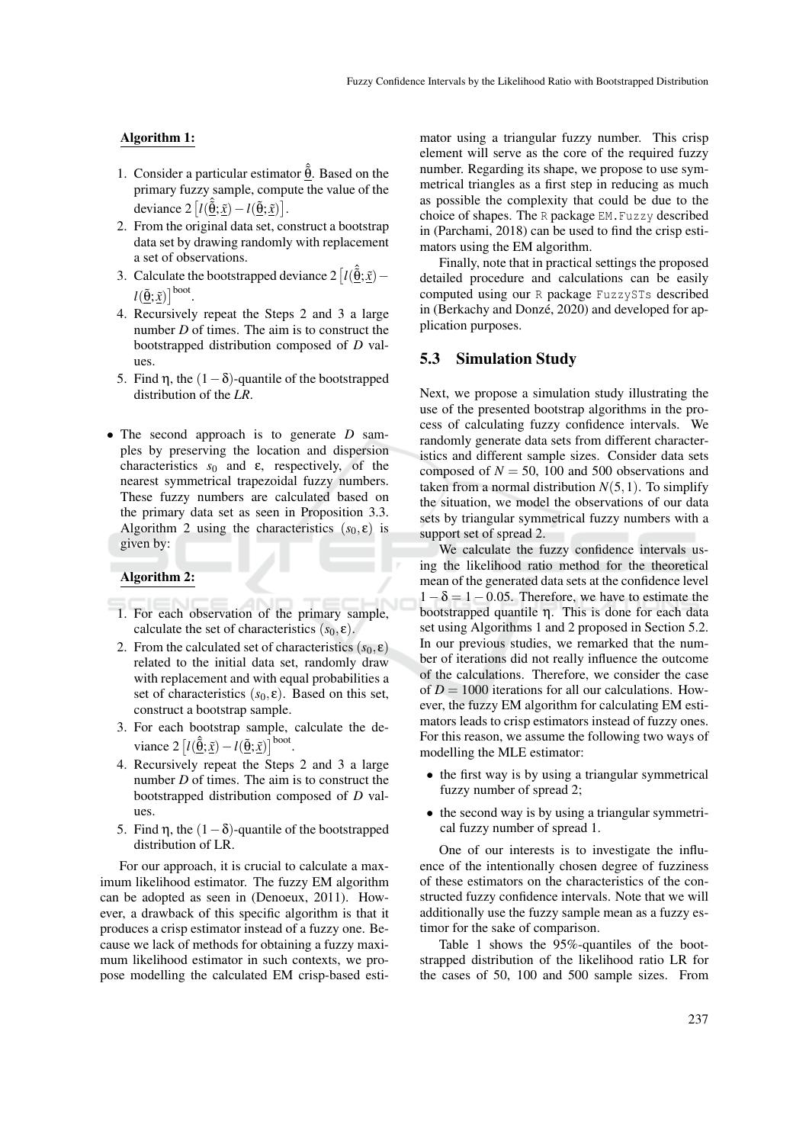#### Algorithm 1:

- 1. Consider a particular estimator  $\hat{a}$ . Based on the primary fuzzy sample, compute the value of the deviance  $2 \left[ l(\hat{\underline{\theta}}; \underline{\tilde{x}}) - l(\underline{\tilde{\theta}}; \underline{\tilde{x}}) \right]$ .
- 2. From the original data set, construct a bootstrap data set by drawing randomly with replacement a set of observations.
- 3. Calculate the bootstrapped deviance  $2\left[l(\hat{\vec{\theta}};\tilde{x})-\right]$  $l(\underline{\tilde{\theta}};\underline{\tilde{x}})\big]^{boot}.$
- 4. Recursively repeat the Steps 2 and 3 a large number *D* of times. The aim is to construct the bootstrapped distribution composed of *D* values.
- 5. Find η, the  $(1-\delta)$ -quantile of the bootstrapped distribution of the *LR*.
- The second approach is to generate *D* samples by preserving the location and dispersion characteristics  $s_0$  and  $\varepsilon$ , respectively, of the nearest symmetrical trapezoidal fuzzy numbers. These fuzzy numbers are calculated based on the primary data set as seen in Proposition 3.3. Algorithm 2 using the characteristics  $(s_0, \varepsilon)$  is given by:

#### Algorithm 2:

- 1. For each observation of the primary sample, calculate the set of characteristics  $(s_0, \varepsilon)$ .
- 2. From the calculated set of characteristics  $(s_0, \varepsilon)$ related to the initial data set, randomly draw with replacement and with equal probabilities a set of characteristics  $(s_0, \varepsilon)$ . Based on this set, construct a bootstrap sample.
- 3. For each bootstrap sample, calculate the deviance  $2\left[l(\hat{\underline{\theta}};\underline{\tilde{x}}) - l(\underline{\tilde{\theta}};\underline{\tilde{x}})\right]^{boot}$ .
- 4. Recursively repeat the Steps 2 and 3 a large number *D* of times. The aim is to construct the bootstrapped distribution composed of *D* values.
- 5. Find η, the  $(1-\delta)$ -quantile of the bootstrapped distribution of LR.

For our approach, it is crucial to calculate a maximum likelihood estimator. The fuzzy EM algorithm can be adopted as seen in (Denoeux, 2011). However, a drawback of this specific algorithm is that it produces a crisp estimator instead of a fuzzy one. Because we lack of methods for obtaining a fuzzy maximum likelihood estimator in such contexts, we propose modelling the calculated EM crisp-based esti-

mator using a triangular fuzzy number. This crisp element will serve as the core of the required fuzzy number. Regarding its shape, we propose to use symmetrical triangles as a first step in reducing as much as possible the complexity that could be due to the choice of shapes. The R package EM.Fuzzy described in (Parchami, 2018) can be used to find the crisp estimators using the EM algorithm.

Finally, note that in practical settings the proposed detailed procedure and calculations can be easily computed using our R package FuzzySTs described in (Berkachy and Donzé, 2020) and developed for application purposes.

#### 5.3 Simulation Study

Next, we propose a simulation study illustrating the use of the presented bootstrap algorithms in the process of calculating fuzzy confidence intervals. We randomly generate data sets from different characteristics and different sample sizes. Consider data sets composed of  $N = 50$ , 100 and 500 observations and taken from a normal distribution  $N(5,1)$ . To simplify the situation, we model the observations of our data sets by triangular symmetrical fuzzy numbers with a support set of spread 2.

We calculate the fuzzy confidence intervals using the likelihood ratio method for the theoretical mean of the generated data sets at the confidence level  $1-\delta = 1-0.05$ . Therefore, we have to estimate the bootstrapped quantile η. This is done for each data set using Algorithms 1 and 2 proposed in Section 5.2. In our previous studies, we remarked that the number of iterations did not really influence the outcome of the calculations. Therefore, we consider the case of  $D = 1000$  iterations for all our calculations. However, the fuzzy EM algorithm for calculating EM estimators leads to crisp estimators instead of fuzzy ones. For this reason, we assume the following two ways of modelling the MLE estimator:

- the first way is by using a triangular symmetrical fuzzy number of spread 2;
- the second way is by using a triangular symmetrical fuzzy number of spread 1.

One of our interests is to investigate the influence of the intentionally chosen degree of fuzziness of these estimators on the characteristics of the constructed fuzzy confidence intervals. Note that we will additionally use the fuzzy sample mean as a fuzzy estimor for the sake of comparison.

Table 1 shows the 95%-quantiles of the bootstrapped distribution of the likelihood ratio LR for the cases of 50, 100 and 500 sample sizes. From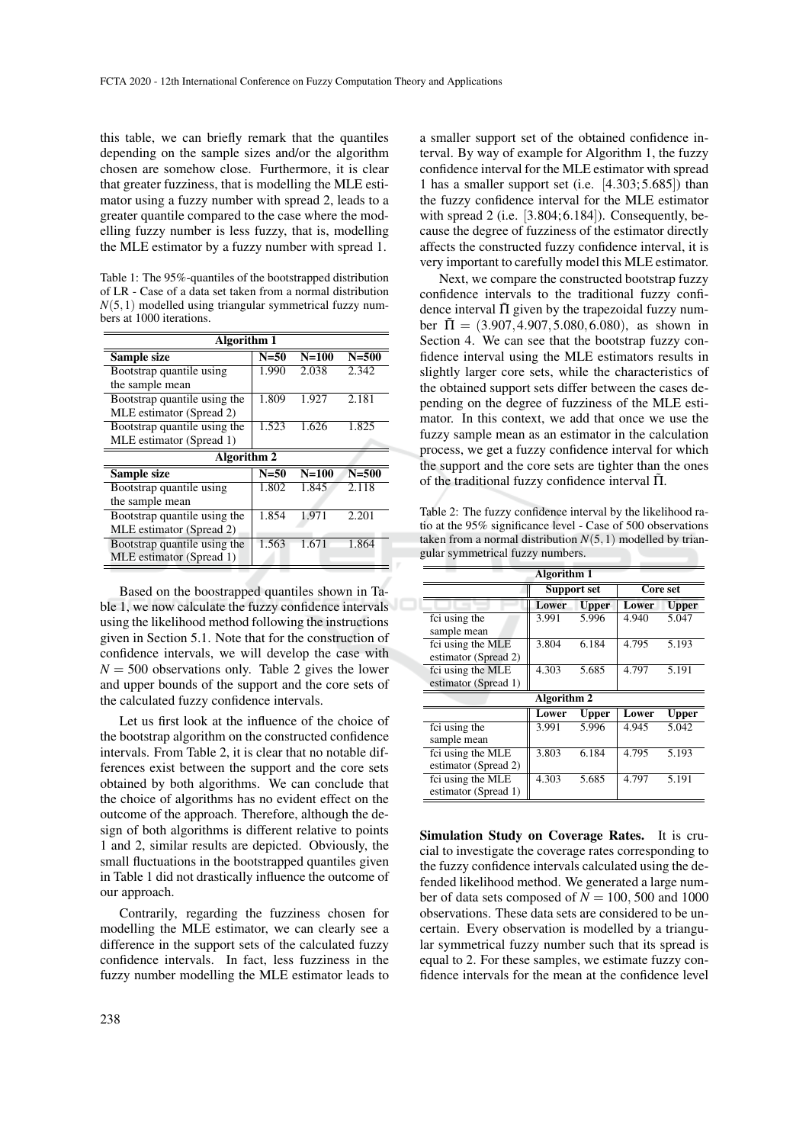this table, we can briefly remark that the quantiles depending on the sample sizes and/or the algorithm chosen are somehow close. Furthermore, it is clear that greater fuzziness, that is modelling the MLE estimator using a fuzzy number with spread 2, leads to a greater quantile compared to the case where the modelling fuzzy number is less fuzzy, that is, modelling the MLE estimator by a fuzzy number with spread 1.

Table 1: The 95%-quantiles of the bootstrapped distribution of LR - Case of a data set taken from a normal distribution  $N(5,1)$  modelled using triangular symmetrical fuzzy numbers at 1000 iterations.

| Algorithm 1                  |        |           |           |  |  |
|------------------------------|--------|-----------|-----------|--|--|
| Sample size                  | $N=50$ | $N = 100$ | $N = 500$ |  |  |
| Bootstrap quantile using     | 1.990  | 2.038     | 2.342     |  |  |
| the sample mean              |        |           |           |  |  |
| Bootstrap quantile using the | 1.809  | 1.927     | 2.181     |  |  |
| MLE estimator (Spread 2)     |        |           |           |  |  |
| Bootstrap quantile using the | 1.523  | 1.626     | 1.825     |  |  |
| MLE estimator (Spread 1)     |        |           |           |  |  |
| Algorithm 2                  |        |           |           |  |  |
|                              |        |           |           |  |  |
| Sample size                  | $N=50$ | $N=100$   | $N = 500$ |  |  |
| Bootstrap quantile using     | 1.802  | 1.845     | 2.118     |  |  |
| the sample mean              |        |           |           |  |  |
| Bootstrap quantile using the | 1.854  | 1.971     | 2.201     |  |  |
| MLE estimator (Spread 2)     |        |           |           |  |  |
| Bootstrap quantile using the | 1.563  | 1.671     | 1.864     |  |  |
| MLE estimator (Spread 1)     |        |           |           |  |  |

Based on the boostrapped quantiles shown in Table 1, we now calculate the fuzzy confidence intervals using the likelihood method following the instructions given in Section 5.1. Note that for the construction of confidence intervals, we will develop the case with  $N = 500$  observations only. Table 2 gives the lower and upper bounds of the support and the core sets of the calculated fuzzy confidence intervals.

Let us first look at the influence of the choice of the bootstrap algorithm on the constructed confidence intervals. From Table 2, it is clear that no notable differences exist between the support and the core sets obtained by both algorithms. We can conclude that the choice of algorithms has no evident effect on the outcome of the approach. Therefore, although the design of both algorithms is different relative to points 1 and 2, similar results are depicted. Obviously, the small fluctuations in the bootstrapped quantiles given in Table 1 did not drastically influence the outcome of our approach.

Contrarily, regarding the fuzziness chosen for modelling the MLE estimator, we can clearly see a difference in the support sets of the calculated fuzzy confidence intervals. In fact, less fuzziness in the fuzzy number modelling the MLE estimator leads to

a smaller support set of the obtained confidence interval. By way of example for Algorithm 1, the fuzzy confidence interval for the MLE estimator with spread 1 has a smaller support set (i.e. [4.303; 5.685]) than the fuzzy confidence interval for the MLE estimator with spread 2 (i.e. [3.804; 6.184]). Consequently, because the degree of fuzziness of the estimator directly affects the constructed fuzzy confidence interval, it is very important to carefully model this MLE estimator.

Next, we compare the constructed bootstrap fuzzy confidence intervals to the traditional fuzzy confidence interval  $\tilde{\Pi}$  given by the trapezoidal fuzzy number  $\tilde{\Pi} = (3.907, 4.907, 5.080, 6.080)$ , as shown in Section 4. We can see that the bootstrap fuzzy confidence interval using the MLE estimators results in slightly larger core sets, while the characteristics of the obtained support sets differ between the cases depending on the degree of fuzziness of the MLE estimator. In this context, we add that once we use the fuzzy sample mean as an estimator in the calculation process, we get a fuzzy confidence interval for which the support and the core sets are tighter than the ones of the traditional fuzzy confidence interval  $\Pi$ .

Table 2: The fuzzy confidence interval by the likelihood ratio at the 95% significance level - Case of 500 observations taken from a normal distribution  $N(5,1)$  modelled by triangular symmetrical fuzzy numbers.

| <b>Algorithm 1</b>   |                    |              |          |              |  |
|----------------------|--------------------|--------------|----------|--------------|--|
|                      | <b>Support set</b> |              | Core set |              |  |
|                      | Lower              | <b>Upper</b> | Lower    | <b>Upper</b> |  |
| fci using the        | 3.991              | 5.996        | 4.940    | 5.047        |  |
| sample mean          |                    |              |          |              |  |
| fci using the MLE    | 3.804              | 6.184        | 4.795    | 5.193        |  |
| estimator (Spread 2) |                    |              |          |              |  |
| fci using the MLE    | 4.303              | 5.685        | 4.797    | 5.191        |  |
| estimator (Spread 1) |                    |              |          |              |  |
| Algorithm 2          |                    |              |          |              |  |
|                      | Lower              | <b>Upper</b> | Lower    | Upper        |  |
| fci using the        | 3.991              | 5.996        | 4.945    | 5.042        |  |
| sample mean          |                    |              |          |              |  |
| fci using the MLE    | 3.803              | 6.184        | 4.795    | 5.193        |  |
| estimator (Spread 2) |                    |              |          |              |  |
| fci using the MLE    | 4.303              | 5.685        | 4.797    | 5.191        |  |
| estimator (Spread 1) |                    |              |          |              |  |

Simulation Study on Coverage Rates. It is crucial to investigate the coverage rates corresponding to the fuzzy confidence intervals calculated using the defended likelihood method. We generated a large number of data sets composed of  $N = 100, 500$  and 1000 observations. These data sets are considered to be uncertain. Every observation is modelled by a triangular symmetrical fuzzy number such that its spread is equal to 2. For these samples, we estimate fuzzy confidence intervals for the mean at the confidence level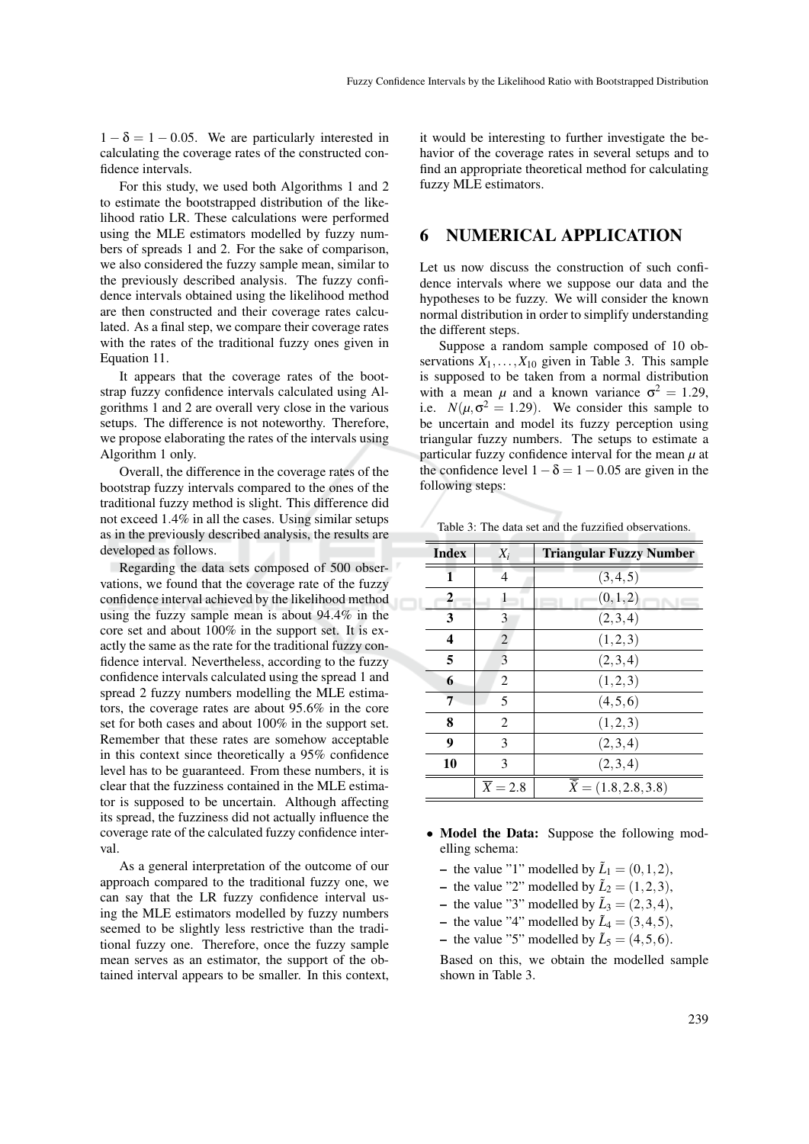$1 - \delta = 1 - 0.05$ . We are particularly interested in calculating the coverage rates of the constructed confidence intervals.

For this study, we used both Algorithms 1 and 2 to estimate the bootstrapped distribution of the likelihood ratio LR. These calculations were performed using the MLE estimators modelled by fuzzy numbers of spreads 1 and 2. For the sake of comparison, we also considered the fuzzy sample mean, similar to the previously described analysis. The fuzzy confidence intervals obtained using the likelihood method are then constructed and their coverage rates calculated. As a final step, we compare their coverage rates with the rates of the traditional fuzzy ones given in Equation 11.

It appears that the coverage rates of the bootstrap fuzzy confidence intervals calculated using Algorithms 1 and 2 are overall very close in the various setups. The difference is not noteworthy. Therefore, we propose elaborating the rates of the intervals using Algorithm 1 only.

Overall, the difference in the coverage rates of the bootstrap fuzzy intervals compared to the ones of the traditional fuzzy method is slight. This difference did not exceed 1.4% in all the cases. Using similar setups as in the previously described analysis, the results are developed as follows.

Regarding the data sets composed of 500 observations, we found that the coverage rate of the fuzzy confidence interval achieved by the likelihood method using the fuzzy sample mean is about 94.4% in the core set and about 100% in the support set. It is exactly the same as the rate for the traditional fuzzy confidence interval. Nevertheless, according to the fuzzy confidence intervals calculated using the spread 1 and spread 2 fuzzy numbers modelling the MLE estimators, the coverage rates are about 95.6% in the core set for both cases and about 100% in the support set. Remember that these rates are somehow acceptable in this context since theoretically a 95% confidence level has to be guaranteed. From these numbers, it is clear that the fuzziness contained in the MLE estimator is supposed to be uncertain. Although affecting its spread, the fuzziness did not actually influence the coverage rate of the calculated fuzzy confidence interval.

As a general interpretation of the outcome of our approach compared to the traditional fuzzy one, we can say that the LR fuzzy confidence interval using the MLE estimators modelled by fuzzy numbers seemed to be slightly less restrictive than the traditional fuzzy one. Therefore, once the fuzzy sample mean serves as an estimator, the support of the obtained interval appears to be smaller. In this context,

it would be interesting to further investigate the behavior of the coverage rates in several setups and to find an appropriate theoretical method for calculating fuzzy MLE estimators.

### 6 NUMERICAL APPLICATION

Let us now discuss the construction of such confidence intervals where we suppose our data and the hypotheses to be fuzzy. We will consider the known normal distribution in order to simplify understanding the different steps.

Suppose a random sample composed of 10 observations  $X_1, \ldots, X_{10}$  given in Table 3. This sample is supposed to be taken from a normal distribution with a mean  $\mu$  and a known variance  $\sigma^2 = 1.29$ , i.e.  $N(\mu, \sigma^2 = 1.29)$ . We consider this sample to be uncertain and model its fuzzy perception using triangular fuzzy numbers. The setups to estimate a particular fuzzy confidence interval for the mean  $\mu$  at the confidence level  $1 - \delta = 1 - 0.05$  are given in the following steps:

Table 3: The data set and the fuzzified observations.

| <b>Index</b> | $X_i$                | <b>Triangular Fuzzy Number</b>           |
|--------------|----------------------|------------------------------------------|
| 1            | 4                    | (3,4,5)                                  |
| 2            | 1                    | (0,1,2)                                  |
| 3            | 3                    | (2,3,4)                                  |
| 4            | $\overline{2}$       | (1,2,3)                                  |
| 5            | 3                    | (2,3,4)                                  |
| 6            | 2                    | (1,2,3)                                  |
| 7            | 5                    | (4,5,6)                                  |
| 8            | 2                    | (1,2,3)                                  |
| 9            | 3                    | (2,3,4)                                  |
| 10           | 3                    | (2,3,4)                                  |
|              | $\overline{X} = 2.8$ | $\overline{\tilde{X}} = (1.8, 2.8, 3.8)$ |

- Model the Data: Suppose the following modelling schema:
	- the value "1" modelled by  $\tilde{L}_1 = (0, 1, 2)$ ,
	- the value "2" modelled by  $\tilde{L}_2 = (1, 2, 3)$ ,
	- the value "3" modelled by  $\tilde{L}_3 = (2,3,4)$ ,
	- the value "4" modelled by  $\tilde{L}_4 = (3, 4, 5)$ ,
	- the value "5" modelled by  $\tilde{L}_5 = (4, 5, 6)$ .

Based on this, we obtain the modelled sample shown in Table 3.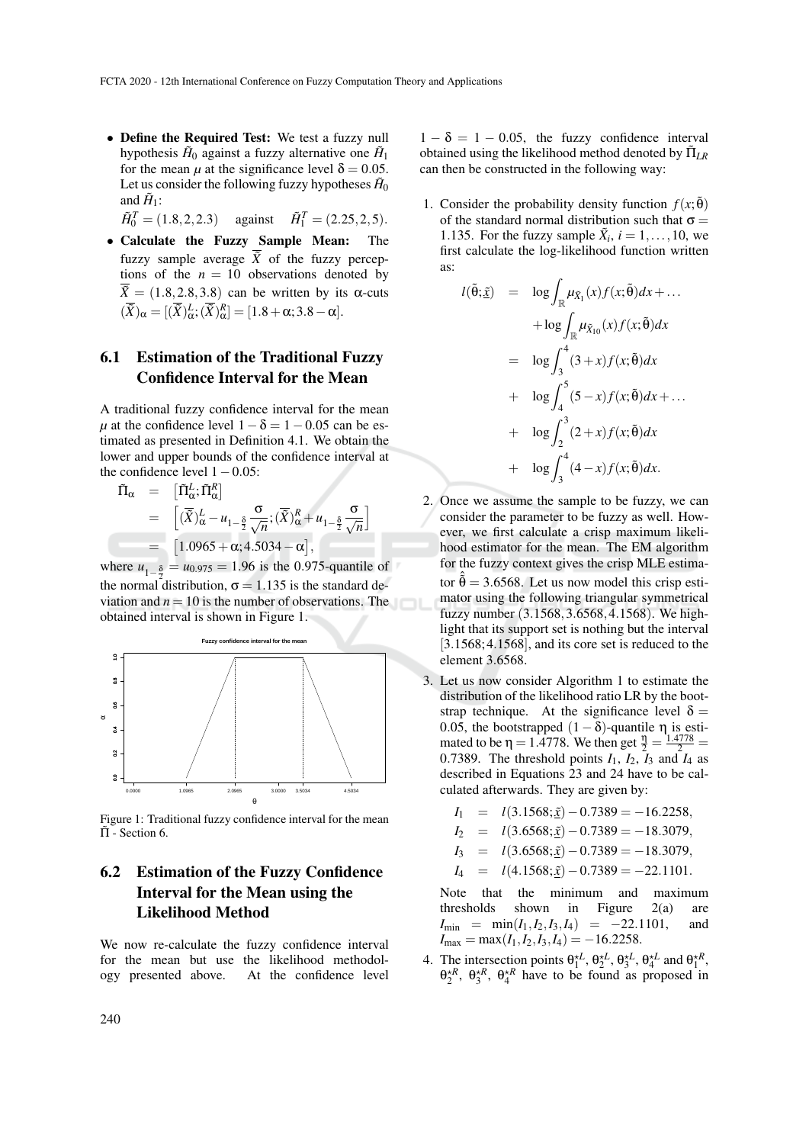• Define the Required Test: We test a fuzzy null hypothesis  $H_0$  against a fuzzy alternative one  $H_1$ for the mean  $\mu$  at the significance level  $\delta = 0.05$ . Let us consider the following fuzzy hypotheses  $\tilde{H}_0$ and  $H_1$ :

 $\tilde{H}_0^T = (1.8, 2, 2.3)$  against  $\tilde{H}_1^T = (2.25, 2, 5).$ 

• Calculate the Fuzzy Sample Mean: The fuzzy sample average  $\overline{X}$  of the fuzzy perceptions of the  $n = 10$  observations denoted by  $\tilde{X} = (1.8, 2.8, 3.8)$  can be written by its  $\alpha$ -cuts  $(\tilde{X})_{\alpha} = [(\tilde{X})_{\alpha}^{L}; (\tilde{X})_{\alpha}^{R}] = [1.8 + \alpha; 3.8 - \alpha].$ 

### 6.1 Estimation of the Traditional Fuzzy Confidence Interval for the Mean

A traditional fuzzy confidence interval for the mean  $\mu$  at the confidence level  $1 - \delta = 1 - 0.05$  can be estimated as presented in Definition 4.1. We obtain the lower and upper bounds of the confidence interval at the confidence level  $1-0.05$ :

$$
\tilde{\Pi}_{\alpha} = \left[ \tilde{\Pi}_{\alpha}^{L}; \tilde{\Pi}_{\alpha}^{R} \right]
$$
\n
$$
= \left[ (\overline{\tilde{X}})_{\alpha}^{L} - u_{1-\frac{\delta}{2}} \frac{\sigma}{\sqrt{n}}; (\overline{\tilde{X}})_{\alpha}^{R} + u_{1-\frac{\delta}{2}} \frac{\sigma}{\sqrt{n}} \right]
$$
\n
$$
= \left[ 1.0965 + \alpha; 4.5034 - \alpha \right],
$$

where  $u_{1-\frac{8}{7}} = u_{0.975} = 1.96$  is the 0.975-quantile of the normal distribution,  $\sigma = 1.135$  is the standard deviation and  $n = 10$  is the number of observations. The obtained interval is shown in Figure 1.



Figure 1: Traditional fuzzy confidence interval for the mean Π˜ - Section 6.

## 6.2 Estimation of the Fuzzy Confidence Interval for the Mean using the Likelihood Method

We now re-calculate the fuzzy confidence interval for the mean but use the likelihood methodology presented above. At the confidence level

 $1 - \delta = 1 - 0.05$ , the fuzzy confidence interval obtained using the likelihood method denoted by  $\tilde{\Pi}_{LR}$ can then be constructed in the following way:

1. Consider the probability density function  $f(x; \theta)$ of the standard normal distribution such that  $\sigma =$ 1.135. For the fuzzy sample  $\tilde{X}_i$ ,  $i = 1, \ldots, 10$ , we first calculate the log-likelihood function written as:

$$
l(\tilde{\theta}; \tilde{\underline{x}}) = \log \int_{\mathbb{R}} \mu_{\tilde{X}_1}(x) f(x; \tilde{\theta}) dx + ...
$$
  
+ 
$$
\log \int_{\mathbb{R}} \mu_{\tilde{X}_{10}}(x) f(x; \tilde{\theta}) dx
$$
  
= 
$$
\log \int_3^4 (3+x) f(x; \tilde{\theta}) dx
$$
  
+ 
$$
\log \int_4^5 (5-x) f(x; \tilde{\theta}) dx + ...
$$
  
+ 
$$
\log \int_2^3 (2+x) f(x; \tilde{\theta}) dx
$$
  
+ 
$$
\log \int_3^4 (4-x) f(x; \tilde{\theta}) dx.
$$

- 2. Once we assume the sample to be fuzzy, we can consider the parameter to be fuzzy as well. However, we first calculate a crisp maximum likelihood estimator for the mean. The EM algorithm for the fuzzy context gives the crisp MLE estimator  $\hat{\hat{\theta}} = 3.6568$ . Let us now model this crisp estimator using the following triangular symmetrical fuzzy number (3.1568, 3.6568, 4.1568). We highlight that its support set is nothing but the interval [3.1568; 4.1568], and its core set is reduced to the element 3.6568.
- 3. Let us now consider Algorithm 1 to estimate the distribution of the likelihood ratio LR by the bootstrap technique. At the significance level  $\delta =$ 0.05, the bootstrapped  $(1 - δ)$ -quantile η is estimated to be  $\eta = 1.4778$ . We then get  $\frac{\eta}{2} = \frac{1.4778}{2}$ 0.7389. The threshold points  $I_1$ ,  $I_2$ ,  $I_3$  and  $I_4$  as described in Equations 23 and 24 have to be calculated afterwards. They are given by:
	- $I_1$  =  $l(3.1568; \tilde{x}) 0.7389 = -16.2258$ ,
	- *I*<sub>2</sub> = *l*(3.6568;  $\tilde{x}$ ) − 0.7389 = −18.3079,
	- $I_3$  =  $l(3.6568; \underline{\tilde{x}}) 0.7389 = -18.3079,$
	- $I_4 = l(4.1568; \tilde{x}) 0.7389 = -22.1101.$

Note that the minimum and maximum thresholds shown in Figure 2(a) are  $I_{\min}$  =  $\min(I_1, I_2, I_3, I_4)$  = −22.1101, and  $I_{\text{max}} = \max(I_1, I_2, I_3, I_4) = -16.2258.$ 

4. The intersection points  $\theta_1^{\star L}$ ,  $\theta_2^{\star L}$ ,  $\theta_3^{\star L}$ ,  $\theta_4^{\star L}$  and  $\theta_1^{\star R}$ ,  $\theta_2^{R}$ ,  $\theta_3^{R}$ ,  $\theta_4^{R}$  have to be found as proposed in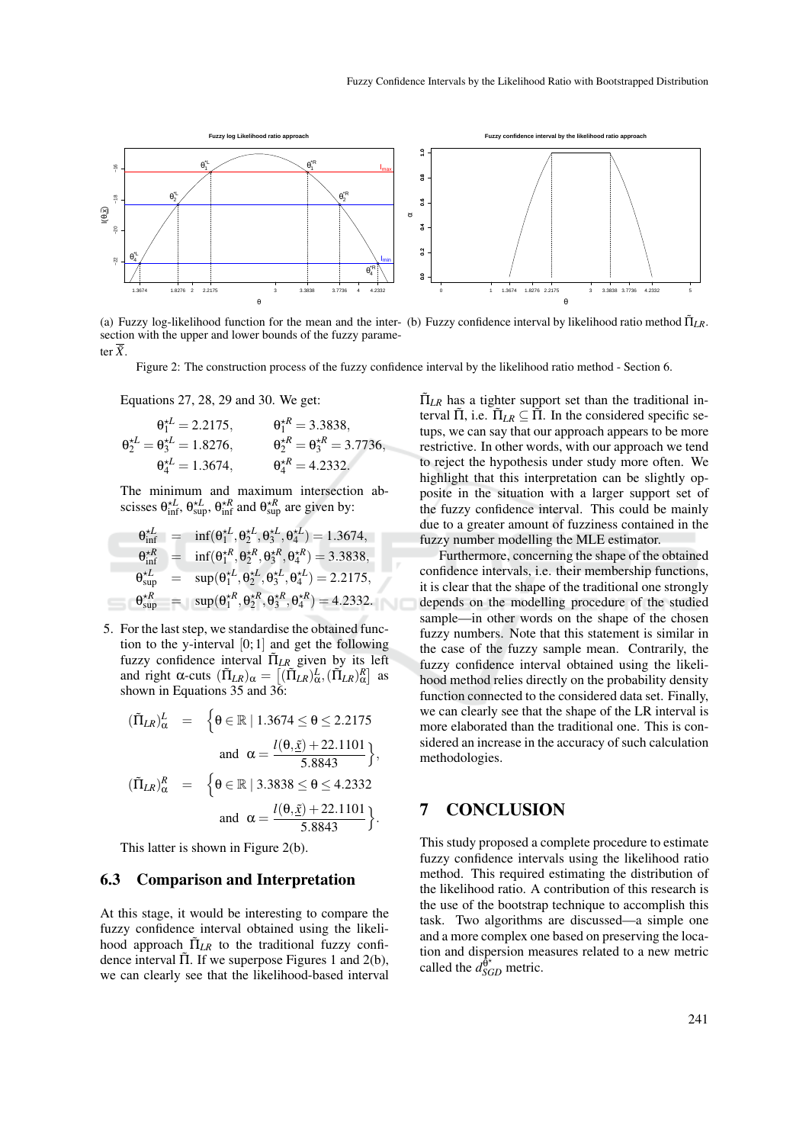

(a) Fuzzy log-likelihood function for the mean and the inter- (b) Fuzzy confidence interval by likelihood ratio method  $\Pi_{LR}$ . section with the upper and lower bounds of the fuzzy parameter  $\overline{\tilde{X}}$ .

Figure 2: The construction process of the fuzzy confidence interval by the likelihood ratio method - Section 6.

Equations 27, 28, 29 and 30. We get:

$$
\theta_1^{\star L} = 2.2175,
$$
  $\theta_1^{\star R} = 3.3838,$   
\n $\theta_2^{\star L} = \theta_3^{\star L} = 1.8276,$   $\theta_2^{\star R} = \theta_3^{\star R} = 3.7736,$   
\n $\theta_4^{\star L} = 1.3674,$   $\theta_4^{\star R} = 4.2332.$ 

The minimum and maximum intersection abscisses  $\theta_{\text{inf}}^{\star L}$ ,  $\theta_{\text{sup}}^{\star R}$ ,  $\theta_{\text{inf}}^{\star R}$  and  $\theta_{\text{sup}}^{\star R}$  are given by:

$$
\begin{array}{rcl}\n\theta_{\text{inf}}^{\star L} &=& \inf(\theta_1^{\star L}, \theta_2^{\star L}, \theta_3^{\star L}, \theta_4^{\star L}) = 1.3674, \\
\theta_{\text{inf}}^{\star R} &=& \inf(\theta_1^{\star R}, \theta_2^{\star R}, \theta_3^{\star R}, \theta_4^{\star R}) = 3.3838, \\
\theta_{\text{sup}}^{\star L} &=& \sup(\theta_1^{\star L}, \theta_2^{\star L}, \theta_3^{\star L}, \theta_4^{\star L}) = 2.2175, \\
\theta_{\text{sup}}^{\star R} &=& \sup(\theta_1^{\star R}, \theta_2^{\star R}, \theta_3^{\star R}, \theta_4^{\star R}) = 4.2332.\n\end{array}
$$

5. For the last step, we standardise the obtained function to the y-interval  $[0; 1]$  and get the following fuzzy confidence interval  $\tilde{\Pi}_{LR}$  given by its left and right  $\alpha$ -cuts  $(\tilde{\Pi}_{LR})_{\alpha} = [(\tilde{\Pi}_{LR})_{\alpha}^L, (\tilde{\Pi}_{LR})_{\alpha}^R]$  as shown in Equations 35 and 36:

$$
(\tilde{\Pi}_{LR})^L_{\alpha} = \begin{cases} \theta \in \mathbb{R} \mid 1.3674 \le \theta \le 2.2175 \\ \text{and } \alpha = \frac{l(\theta, \tilde{\underline{x}}) + 22.1101}{5.8843} \end{cases},
$$
  

$$
(\tilde{\Pi}_{LR})^R_{\alpha} = \begin{cases} \theta \in \mathbb{R} \mid 3.3838 \le \theta \le 4.2332 \\ \text{and } \alpha = \frac{l(\theta, \tilde{\underline{x}}) + 22.1101}{5.8843} \end{cases}.
$$

This latter is shown in Figure 2(b).

#### 6.3 Comparison and Interpretation

At this stage, it would be interesting to compare the fuzzy confidence interval obtained using the likelihood approach  $\tilde{\Pi}_{LR}$  to the traditional fuzzy confidence interval  $\Pi$ . If we superpose Figures 1 and 2(b), we can clearly see that the likelihood-based interval

 $\tilde{\Pi}_{LR}$  has a tighter support set than the traditional interval  $\tilde{\Pi}$ , i.e.  $\tilde{\Pi}_{LR} \subseteq \tilde{\Pi}$ . In the considered specific setups, we can say that our approach appears to be more restrictive. In other words, with our approach we tend to reject the hypothesis under study more often. We highlight that this interpretation can be slightly opposite in the situation with a larger support set of the fuzzy confidence interval. This could be mainly due to a greater amount of fuzziness contained in the fuzzy number modelling the MLE estimator.

Furthermore, concerning the shape of the obtained confidence intervals, i.e. their membership functions, it is clear that the shape of the traditional one strongly depends on the modelling procedure of the studied sample—in other words on the shape of the chosen fuzzy numbers. Note that this statement is similar in the case of the fuzzy sample mean. Contrarily, the fuzzy confidence interval obtained using the likelihood method relies directly on the probability density function connected to the considered data set. Finally, we can clearly see that the shape of the LR interval is more elaborated than the traditional one. This is considered an increase in the accuracy of such calculation methodologies.

### 7 CONCLUSION

This study proposed a complete procedure to estimate fuzzy confidence intervals using the likelihood ratio method. This required estimating the distribution of the likelihood ratio. A contribution of this research is the use of the bootstrap technique to accomplish this task. Two algorithms are discussed—a simple one and a more complex one based on preserving the location and dispersion measures related to a new metric called the  $d_{SGD}^{\hat{\theta}^{\star}}$  metric.